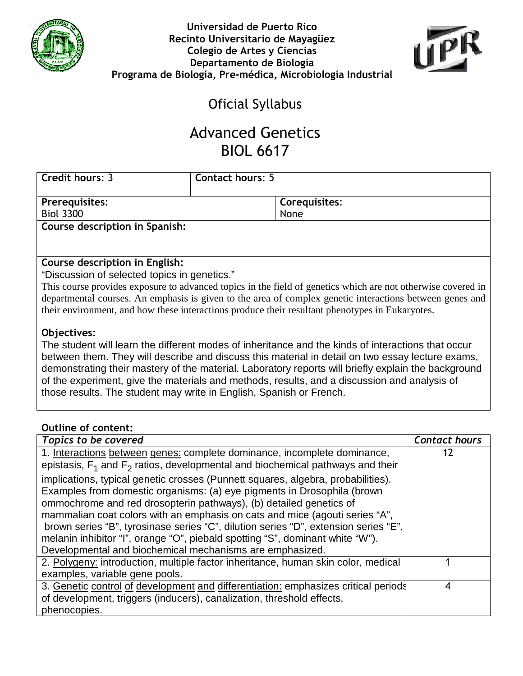



## Oficial Syllabus

# Advanced Genetics BIOL 6617

| <b>Credit hours: 3</b>         | <b>Contact hours: 5</b> |               |
|--------------------------------|-------------------------|---------------|
|                                |                         |               |
| <b>Prerequisites:</b>          |                         | Corequisites: |
| <b>Biol 3300</b>               |                         | None          |
| Course description in Spanish: |                         |               |

### Course description in English:

"Discussion of selected topics in genetics."

This course provides exposure to advanced topics in the field of genetics which are not otherwise covered in departmental courses. An emphasis is given to the area of complex genetic interactions between genes and their environment, and how these interactions produce their resultant phenotypes in Eukaryotes.

#### Objectives:

The student will learn the different modes of inheritance and the kinds of interactions that occur between them. They will describe and discuss this material in detail on two essay lecture exams, demonstrating their mastery of the material. Laboratory reports will briefly explain the background of the experiment, give the materials and methods, results, and a discussion and analysis of those results. The student may write in English, Spanish or French.

#### Outline of content:

| Topics to be covered                                                                                                                                                                                                                                                                                                                                                                                                                                                                                                                                 | <b>Contact hours</b> |
|------------------------------------------------------------------------------------------------------------------------------------------------------------------------------------------------------------------------------------------------------------------------------------------------------------------------------------------------------------------------------------------------------------------------------------------------------------------------------------------------------------------------------------------------------|----------------------|
| 1. Interactions between genes: complete dominance, incomplete dominance,<br>epistasis, $F_1$ and $F_2$ ratios, developmental and biochemical pathways and their                                                                                                                                                                                                                                                                                                                                                                                      | 17                   |
| implications, typical genetic crosses (Punnett squares, algebra, probabilities).<br>Examples from domestic organisms: (a) eye pigments in Drosophila (brown<br>ommochrome and red drosopterin pathways), (b) detailed genetics of<br>mammalian coat colors with an emphasis on cats and mice (agouti series "A",<br>brown series "B", tyrosinase series "C", dilution series "D", extension series "E",<br>melanin inhibitor "I", orange "O", piebald spotting "S", dominant white "W").<br>Developmental and biochemical mechanisms are emphasized. |                      |
| 2. Polygeny: introduction, multiple factor inheritance, human skin color, medical<br>examples, variable gene pools.                                                                                                                                                                                                                                                                                                                                                                                                                                  |                      |
| 3. Genetic control of development and differentiation: emphasizes critical periods<br>of development, triggers (inducers), canalization, threshold effects,<br>phenocopies.                                                                                                                                                                                                                                                                                                                                                                          | 4                    |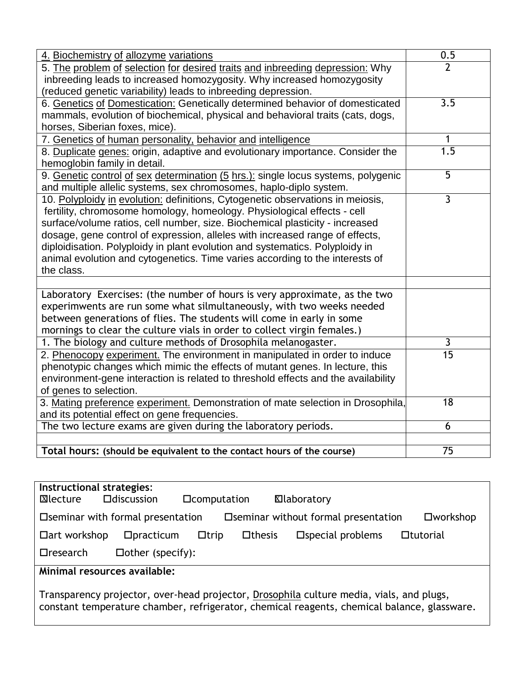| 4. Biochemistry of allozyme variations                                                                         | 0.5             |
|----------------------------------------------------------------------------------------------------------------|-----------------|
| 5. The problem of selection for desired traits and inbreeding depression: Why                                  | $\overline{2}$  |
| inbreeding leads to increased homozygosity. Why increased homozygosity                                         |                 |
| (reduced genetic variability) leads to inbreeding depression.                                                  |                 |
| 6. Genetics of Domestication: Genetically determined behavior of domesticated                                  | 3.5             |
| mammals, evolution of biochemical, physical and behavioral traits (cats, dogs,                                 |                 |
| horses, Siberian foxes, mice).                                                                                 |                 |
| 7. Genetics of human personality, behavior and intelligence                                                    | 1               |
| 8. Duplicate genes: origin, adaptive and evolutionary importance. Consider the<br>hemoglobin family in detail. | 1.5             |
| 9. Genetic control of sex determination (5 hrs.): single locus systems, polygenic                              | $\overline{5}$  |
| and multiple allelic systems, sex chromosomes, haplo-diplo system.                                             |                 |
| 10. Polyploidy in evolution: definitions, Cytogenetic observations in meiosis,                                 | $\overline{3}$  |
| fertility, chromosome homology, homeology. Physiological effects - cell                                        |                 |
| surface/volume ratios, cell number, size. Biochemical plasticity - increased                                   |                 |
| dosage, gene control of expression, alleles with increased range of effects,                                   |                 |
| diploidisation. Polyploidy in plant evolution and systematics. Polyploidy in                                   |                 |
| animal evolution and cytogenetics. Time varies according to the interests of                                   |                 |
| the class.                                                                                                     |                 |
|                                                                                                                |                 |
| Laboratory Exercises: (the number of hours is very approximate, as the two                                     |                 |
| experimwents are run some what silmultaneously, with two weeks needed                                          |                 |
| between generations of flies. The students will come in early in some                                          |                 |
| mornings to clear the culture vials in order to collect virgin females.)                                       |                 |
| 1. The biology and culture methods of Drosophila melanogaster.                                                 | 3               |
| 2. Phenocopy experiment. The environment in manipulated in order to induce                                     | $\overline{15}$ |
| phenotypic changes which mimic the effects of mutant genes. In lecture, this                                   |                 |
| environment-gene interaction is related to threshold effects and the availability                              |                 |
| of genes to selection.                                                                                         |                 |
| 3. Mating preference experiment. Demonstration of mate selection in Drosophila,                                | 18              |
| and its potential effect on gene frequencies.                                                                  |                 |
| The two lecture exams are given during the laboratory periods.                                                 | 6               |
|                                                                                                                |                 |
| Total hours: (should be equivalent to the contact hours of the course)                                         | 75              |

| Instructional strategies:<br>⊠lecture                                                             | $\square$ discussion    | <b>D</b> computation |               | <b>XI</b> laboratory       |                  |
|---------------------------------------------------------------------------------------------------|-------------------------|----------------------|---------------|----------------------------|------------------|
| $\square$ workshop<br>□ Seminar without formal presentation<br>□ Seminar with formal presentation |                         |                      |               |                            |                  |
| □ art workshop                                                                                    | Dpractiveum             | $\Box$ trip          | $\Box$ thesis | $\square$ special problems | <b>Otutorial</b> |
| $\Box$ research                                                                                   | $\Box$ other (specify): |                      |               |                            |                  |
| Minimal resources available:                                                                      |                         |                      |               |                            |                  |

Transparency projector, over-head projector, Drosophila culture media, vials, and plugs, constant temperature chamber, refrigerator, chemical reagents, chemical balance, glassware.